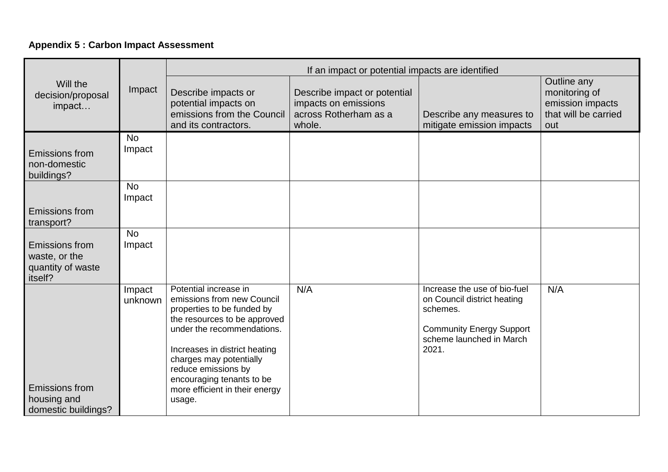## **Appendix 5 : Carbon Impact Assessment**

|                                                                        | Impact              | If an impact or potential impacts are identified                                                                                                                                                                                                                                                            |                                                                                         |                                                                                                                                                 |                                                                                 |
|------------------------------------------------------------------------|---------------------|-------------------------------------------------------------------------------------------------------------------------------------------------------------------------------------------------------------------------------------------------------------------------------------------------------------|-----------------------------------------------------------------------------------------|-------------------------------------------------------------------------------------------------------------------------------------------------|---------------------------------------------------------------------------------|
| Will the<br>decision/proposal<br>impact                                |                     | Describe impacts or<br>potential impacts on<br>emissions from the Council<br>and its contractors.                                                                                                                                                                                                           | Describe impact or potential<br>impacts on emissions<br>across Rotherham as a<br>whole. | Describe any measures to<br>mitigate emission impacts                                                                                           | Outline any<br>monitoring of<br>emission impacts<br>that will be carried<br>out |
| Emissions from<br>non-domestic<br>buildings?                           | <b>No</b><br>Impact |                                                                                                                                                                                                                                                                                                             |                                                                                         |                                                                                                                                                 |                                                                                 |
| <b>Emissions from</b>                                                  | <b>No</b><br>Impact |                                                                                                                                                                                                                                                                                                             |                                                                                         |                                                                                                                                                 |                                                                                 |
| transport?                                                             |                     |                                                                                                                                                                                                                                                                                                             |                                                                                         |                                                                                                                                                 |                                                                                 |
| <b>Emissions from</b><br>waste, or the<br>quantity of waste<br>itself? | <b>No</b><br>Impact |                                                                                                                                                                                                                                                                                                             |                                                                                         |                                                                                                                                                 |                                                                                 |
| <b>Emissions from</b><br>housing and<br>domestic buildings?            | Impact<br>unknown   | Potential increase in<br>emissions from new Council<br>properties to be funded by<br>the resources to be approved<br>under the recommendations.<br>Increases in district heating<br>charges may potentially<br>reduce emissions by<br>encouraging tenants to be<br>more efficient in their energy<br>usage. | N/A                                                                                     | Increase the use of bio-fuel<br>on Council district heating<br>schemes.<br><b>Community Energy Support</b><br>scheme launched in March<br>2021. | N/A                                                                             |